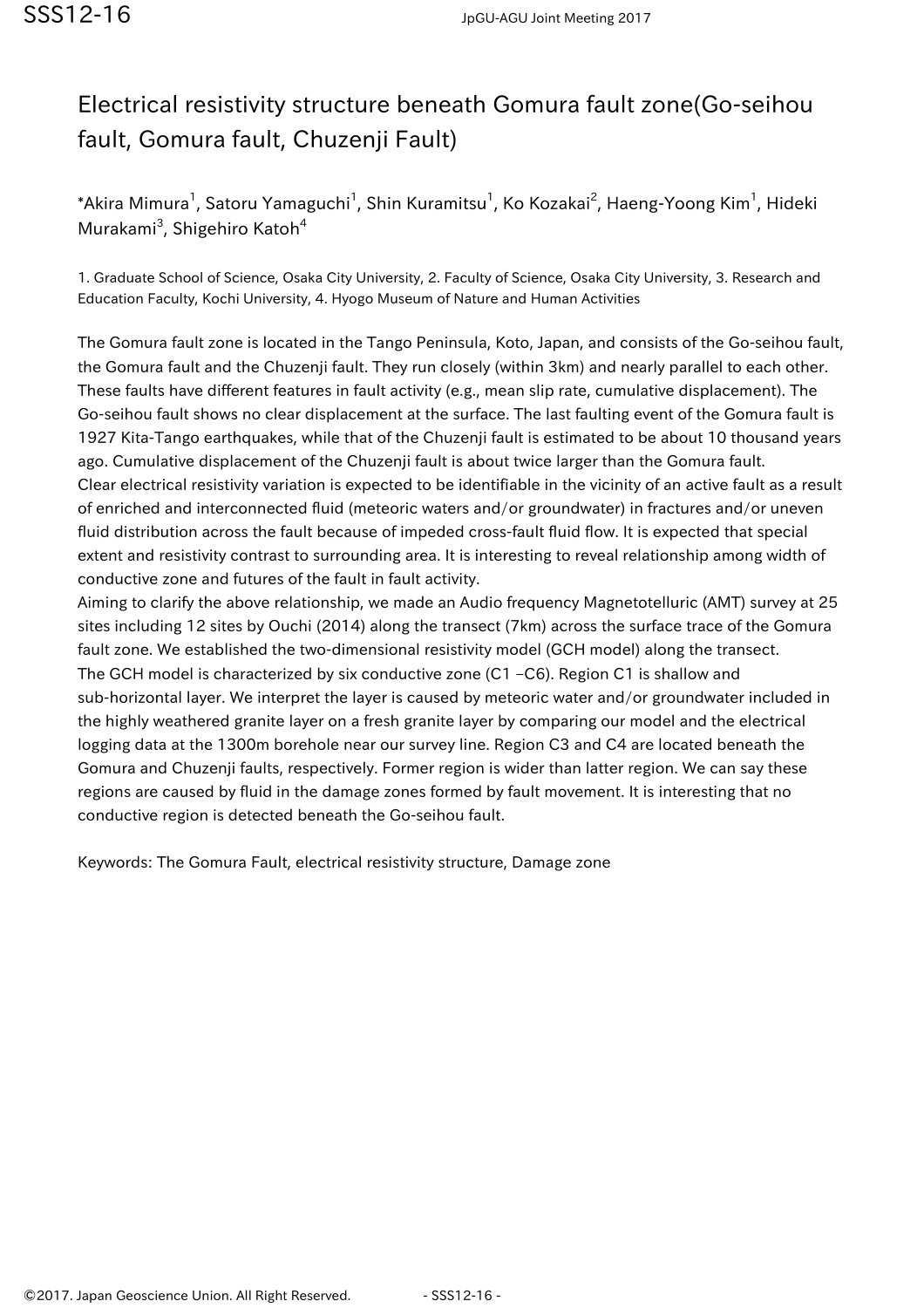## Electrical resistivity structure beneath Gomura fault zone(Go-seihou fault, Gomura fault, Chuzenji Fault)

\*Akira Mimura $^1$ , Satoru Yamaguchi $^1$ , Shin Kuramitsu $^1$ , Ko Kozakai $^2$ , Haeng-Yoong Kim $^1$ , Hideki Murakami<sup>3</sup>, Shigehiro Katoh<sup>4</sup>

1. Graduate School of Science, Osaka City University, 2. Faculty of Science, Osaka City University, 3. Research and Education Faculty, Kochi University, 4. Hyogo Museum of Nature and Human Activities

The Gomura fault zone is located in the Tango Peninsula, Koto, Japan, and consists of the Go-seihou fault, the Gomura fault and the Chuzenji fault. They run closely (within 3km) and nearly parallel to each other. These faults have different features in fault activity (e.g., mean slip rate, cumulative displacement). The Go-seihou fault shows no clear displacement at the surface. The last faulting event of the Gomura fault is 1927 Kita-Tango earthquakes, while that of the Chuzenji fault is estimated to be about 10 thousand years ago. Cumulative displacement of the Chuzenji fault is about twice larger than the Gomura fault. Clear electrical resistivity variation is expected to be identifiable in the vicinity of an active fault as a result of enriched and interconnected fluid (meteoric waters and/or groundwater) in fractures and/or uneven fluid distribution across the fault because of impeded cross-fault fluid flow. It is expected that special extent and resistivity contrast to surrounding area. It is interesting to reveal relationship among width of conductive zone and futures of the fault in fault activity.

Aiming to clarify the above relationship, we made an Audio frequency Magnetotelluric (AMT) survey at 25 sites including 12 sites by Ouchi (2014) along the transect (7km) across the surface trace of the Gomura fault zone. We established the two-dimensional resistivity model (GCH model) along the transect. The GCH model is characterized by six conductive zone (C1 –C6). Region C1 is shallow and sub-horizontal layer. We interpret the layer is caused by meteoric water and/or groundwater included in the highly weathered granite layer on a fresh granite layer by comparing our model and the electrical logging data at the 1300m borehole near our survey line. Region C3 and C4 are located beneath the Gomura and Chuzenji faults, respectively. Former region is wider than latter region. We can say these regions are caused by fluid in the damage zones formed by fault movement. It is interesting that no conductive region is detected beneath the Go-seihou fault.

Keywords: The Gomura Fault, electrical resistivity structure, Damage zone